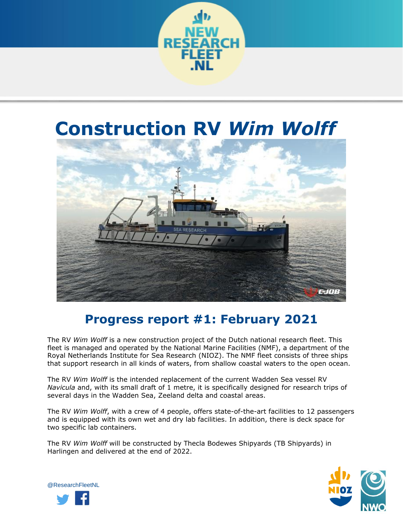

# **Construction RV** *Wim Wolff*



# **Progress report #1: February 2021**

The RV *Wim Wolff* is a new construction project of the Dutch national research fleet. This fleet is managed and operated by the National Marine Facilities (NMF), a department of the Royal Netherlands Institute for Sea Research (NIOZ). The NMF fleet consists of three ships that support research in all kinds of waters, from shallow coastal waters to the open ocean.

The RV *Wim Wolff* is the intended replacement of the current Wadden Sea vessel RV *Navicula* and, with its small draft of 1 metre, it is specifically designed for research trips of several days in the Wadden Sea, Zeeland delta and coastal areas.

The RV *Wim Wolff*, with a crew of 4 people, offers state-of-the-art facilities to 12 passengers and is equipped with its own wet and dry lab facilities. In addition, there is deck space for two specific lab containers.

The RV *Wim Wolff* will be constructed by Thecla Bodewes Shipyards (TB Shipyards) in Harlingen and delivered at the end of 2022.



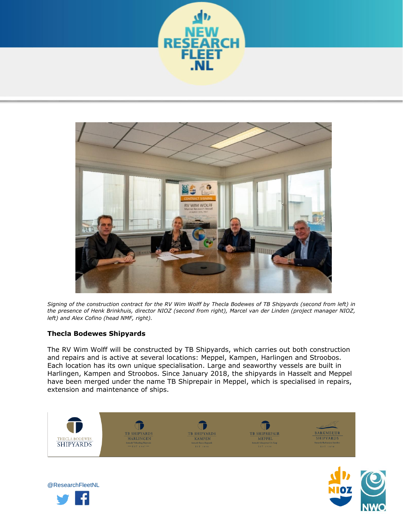



*Signing of the construction contract for the RV Wim Wolff by Thecla Bodewes of TB Shipyards (second from left) in the presence of Henk Brinkhuis, director NIOZ (second from right), Marcel van der Linden (project manager NIOZ, left) and Alex Cofino (head NMF, right).*

# **Thecla Bodewes Shipyards**

The RV Wim Wolff will be constructed by TB Shipyards, which carries out both construction and repairs and is active at several locations: Meppel, Kampen, Harlingen and Stroobos. Each location has its own unique specialisation. Large and seaworthy vessels are built in Harlingen, Kampen and Stroobos. Since January 2018, the shipyards in Hasselt and Meppel have been merged under the name TB Shiprepair in Meppel, which is specialised in repairs, extension and maintenance of ships.





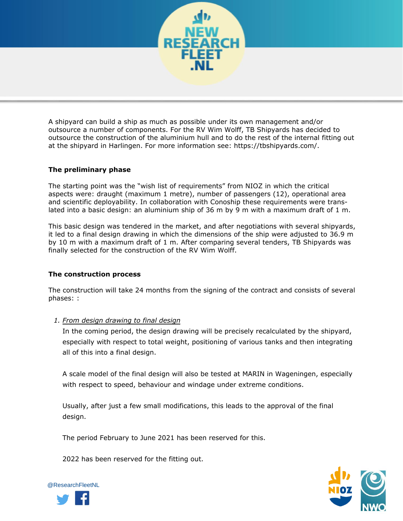

A shipyard can build a ship as much as possible under its own management and/or outsource a number of components. For the RV Wim Wolff, TB Shipyards has decided to outsource the construction of the aluminium hull and to do the rest of the internal fitting out at the shipyard in Harlingen. For more information see: https://tbshipyards.com/.

# **The preliminary phase**

The starting point was the "wish list of requirements" from NIOZ in which the critical aspects were: draught (maximum 1 metre), number of passengers (12), operational area and scientific deployability. In collaboration with Conoship these requirements were translated into a basic design: an aluminium ship of 36 m by 9 m with a maximum draft of 1 m.

This basic design was tendered in the market, and after negotiations with several shipyards, it led to a final design drawing in which the dimensions of the ship were adjusted to 36.9 m by 10 m with a maximum draft of 1 m. After comparing several tenders, TB Shipyards was finally selected for the construction of the RV Wim Wolff.

#### **The construction process**

The construction will take 24 months from the signing of the contract and consists of several phases: :

#### *1. From design drawing to final design*

In the coming period, the design drawing will be precisely recalculated by the shipyard, especially with respect to total weight, positioning of various tanks and then integrating all of this into a final design.

A scale model of the final design will also be tested at MARIN in Wageningen, especially with respect to speed, behaviour and windage under extreme conditions.

Usually, after just a few small modifications, this leads to the approval of the final design.

The period February to June 2021 has been reserved for this.

2022 has been reserved for the fitting out.